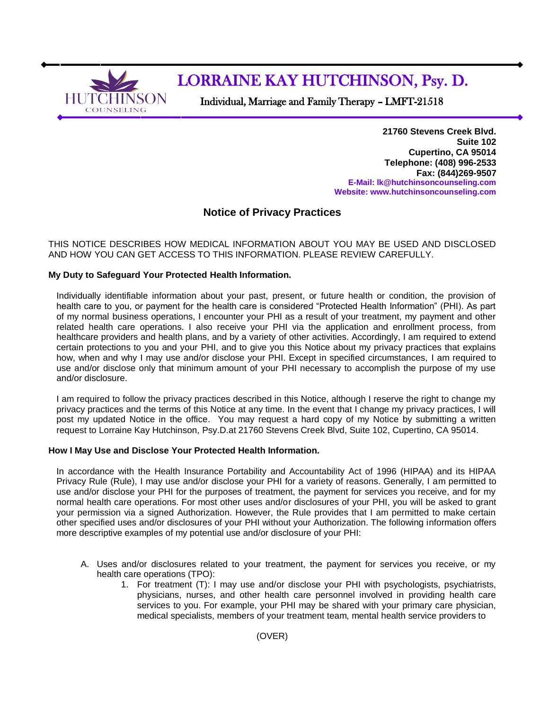

# LORRAINE KAY HUTCHINSON, Psy. D.

Individual, Marriage and Family Therapy – LMFT-21518

**21760 Stevens Creek Blvd. Suite 102 Cupertino, CA 95014 Telephone: (408) 996-2533 Fax: (844)269-9507 E-Mail[: lk@hutchinsoncounseling.com](mailto:lk@hutchinsoncounseling.com) Website: [www.hutchinsoncounseling.com](http://www.hutchinsoncounseling.com/)**

# **Notice of Privacy Practices**

THIS NOTICE DESCRIBES HOW MEDICAL INFORMATION ABOUT YOU MAY BE USED AND DISCLOSED AND HOW YOU CAN GET ACCESS TO THIS INFORMATION. PLEASE REVIEW CAREFULLY.

### **My Duty to Safeguard Your Protected Health Information.**

Individually identifiable information about your past, present, or future health or condition, the provision of health care to you, or payment for the health care is considered "Protected Health Information" (PHI). As part of my normal business operations, I encounter your PHI as a result of your treatment, my payment and other related health care operations. I also receive your PHI via the application and enrollment process, from healthcare providers and health plans, and by a variety of other activities. Accordingly, I am required to extend certain protections to you and your PHI, and to give you this Notice about my privacy practices that explains how, when and why I may use and/or disclose your PHI. Except in specified circumstances, I am required to use and/or disclose only that minimum amount of your PHI necessary to accomplish the purpose of my use and/or disclosure.

I am required to follow the privacy practices described in this Notice, although I reserve the right to change my privacy practices and the terms of this Notice at any time. In the event that I change my privacy practices, I will post my updated Notice in the office. You may request a hard copy of my Notice by submitting a written request to Lorraine Kay Hutchinson, Psy.D.at 21760 Stevens Creek Blvd, Suite 102, Cupertino, CA 95014.

### **How I May Use and Disclose Your Protected Health Information.**

In accordance with the Health Insurance Portability and Accountability Act of 1996 (HIPAA) and its HIPAA Privacy Rule (Rule), I may use and/or disclose your PHI for a variety of reasons. Generally, I am permitted to use and/or disclose your PHI for the purposes of treatment, the payment for services you receive, and for my normal health care operations. For most other uses and/or disclosures of your PHI, you will be asked to grant your permission via a signed Authorization. However, the Rule provides that I am permitted to make certain other specified uses and/or disclosures of your PHI without your Authorization. The following information offers more descriptive examples of my potential use and/or disclosure of your PHI:

- A. Uses and/or disclosures related to your treatment, the payment for services you receive, or my health care operations (TPO):
	- 1. For treatment (T): I may use and/or disclose your PHI with psychologists, psychiatrists, physicians, nurses, and other health care personnel involved in providing health care services to you. For example, your PHI may be shared with your primary care physician, medical specialists, members of your treatment team, mental health service providers to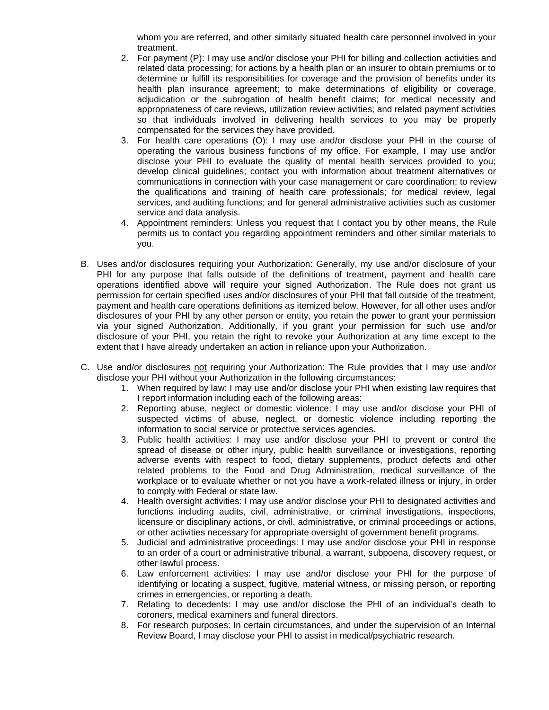whom you are referred, and other similarly situated health care personnel involved in your treatment.

- 2. For payment (P): I may use and/or disclose your PHI for billing and collection activities and related data processing; for actions by a health plan or an insurer to obtain premiums or to determine or fulfill its responsibilities for coverage and the provision of benefits under its health plan insurance agreement; to make determinations of eligibility or coverage, adjudication or the subrogation of health benefit claims; for medical necessity and appropriateness of care reviews, utilization review activities; and related payment activities so that individuals involved in delivering health services to you may be properly compensated for the services they have provided.
- 3. For health care operations (O): I may use and/or disclose your PHI in the course of operating the various business functions of my office. For example, I may use and/or disclose your PHI to evaluate the quality of mental health services provided to you; develop clinical guidelines; contact you with information about treatment alternatives or communications in connection with your case management or care coordination; to review the qualifications and training of health care professionals; for medical review, legal services, and auditing functions; and for general administrative activities such as customer service and data analysis.
- 4. Appointment reminders: Unless you request that I contact you by other means, the Rule permits us to contact you regarding appointment reminders and other similar materials to you.
- B. Uses and/or disclosures requiring your Authorization: Generally, my use and/or disclosure of your PHI for any purpose that falls outside of the definitions of treatment, payment and health care operations identified above will require your signed Authorization. The Rule does not grant us permission for certain specified uses and/or disclosures of your PHI that fall outside of the treatment, payment and health care operations definitions as itemized below. However, for all other uses and/or disclosures of your PHI by any other person or entity, you retain the power to grant your permission via your signed Authorization. Additionally, if you grant your permission for such use and/or disclosure of your PHI, you retain the right to revoke your Authorization at any time except to the extent that I have already undertaken an action in reliance upon your Authorization.
- C. Use and/or disclosures not requiring your Authorization: The Rule provides that I may use and/or disclose your PHI without your Authorization in the following circumstances:
	- 1. When required by law: I may use and/or disclose your PHI when existing law requires that I report information including each of the following areas:
	- 2. Reporting abuse, neglect or domestic violence: I may use and/or disclose your PHI of suspected victims of abuse, neglect, or domestic violence including reporting the information to social service or protective services agencies.
	- 3. Public health activities: I may use and/or disclose your PHI to prevent or control the spread of disease or other injury, public health surveillance or investigations, reporting adverse events with respect to food, dietary supplements, product defects and other related problems to the Food and Drug Administration, medical surveillance of the workplace or to evaluate whether or not you have a work-related illness or injury, in order to comply with Federal or state law.
	- 4. Health oversight activities: I may use and/or disclose your PHI to designated activities and functions including audits, civil, administrative, or criminal investigations, inspections, licensure or disciplinary actions, or civil, administrative, or criminal proceedings or actions, or other activities necessary for appropriate oversight of government benefit programs.
	- 5. Judicial and administrative proceedings: I may use and/or disclose your PHI in response to an order of a court or administrative tribunal, a warrant, subpoena, discovery request, or other lawful process.
	- 6. Law enforcement activities: I may use and/or disclose your PHI for the purpose of identifying or locating a suspect, fugitive, material witness, or missing person, or reporting crimes in emergencies, or reporting a death.
	- 7. Relating to decedents: I may use and/or disclose the PHI of an individual's death to coroners, medical examiners and funeral directors.
	- 8. For research purposes: In certain circumstances, and under the supervision of an Internal Review Board, I may disclose your PHI to assist in medical/psychiatric research.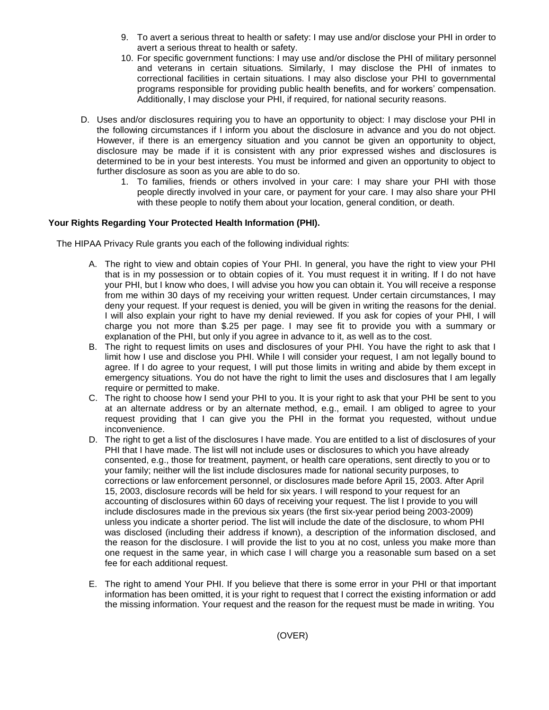- 9. To avert a serious threat to health or safety: I may use and/or disclose your PHI in order to avert a serious threat to health or safety.
- 10. For specific government functions: I may use and/or disclose the PHI of military personnel and veterans in certain situations. Similarly, I may disclose the PHI of inmates to correctional facilities in certain situations. I may also disclose your PHI to governmental programs responsible for providing public health benefits, and for workers' compensation. Additionally, I may disclose your PHI, if required, for national security reasons.
- D. Uses and/or disclosures requiring you to have an opportunity to object: I may disclose your PHI in the following circumstances if I inform you about the disclosure in advance and you do not object. However, if there is an emergency situation and you cannot be given an opportunity to object, disclosure may be made if it is consistent with any prior expressed wishes and disclosures is determined to be in your best interests. You must be informed and given an opportunity to object to further disclosure as soon as you are able to do so.
	- 1. To families, friends or others involved in your care: I may share your PHI with those people directly involved in your care, or payment for your care. I may also share your PHI with these people to notify them about your location, general condition, or death.

## **Your Rights Regarding Your Protected Health Information (PHI).**

The HIPAA Privacy Rule grants you each of the following individual rights:

- A. The right to view and obtain copies of Your PHI. In general, you have the right to view your PHI that is in my possession or to obtain copies of it. You must request it in writing. If I do not have your PHI, but I know who does, I will advise you how you can obtain it. You will receive a response from me within 30 days of my receiving your written request. Under certain circumstances, I may deny your request. If your request is denied, you will be given in writing the reasons for the denial. I will also explain your right to have my denial reviewed. If you ask for copies of your PHI, I will charge you not more than \$.25 per page. I may see fit to provide you with a summary or explanation of the PHI, but only if you agree in advance to it, as well as to the cost.
- B. The right to request limits on uses and disclosures of your PHI. You have the right to ask that I limit how I use and disclose you PHI. While I will consider your request, I am not legally bound to agree. If I do agree to your request, I will put those limits in writing and abide by them except in emergency situations. You do not have the right to limit the uses and disclosures that I am legally require or permitted to make.
- C. The right to choose how I send your PHI to you. It is your right to ask that your PHI be sent to you at an alternate address or by an alternate method, e.g., email. I am obliged to agree to your request providing that I can give you the PHI in the format you requested, without undue inconvenience.
- D. The right to get a list of the disclosures I have made. You are entitled to a list of disclosures of your PHI that I have made. The list will not include uses or disclosures to which you have already consented, e.g., those for treatment, payment, or health care operations, sent directly to you or to your family; neither will the list include disclosures made for national security purposes, to corrections or law enforcement personnel, or disclosures made before April 15, 2003. After April 15, 2003, disclosure records will be held for six years. I will respond to your request for an accounting of disclosures within 60 days of receiving your request. The list I provide to you will include disclosures made in the previous six years (the first six-year period being 2003-2009) unless you indicate a shorter period. The list will include the date of the disclosure, to whom PHI was disclosed (including their address if known), a description of the information disclosed, and the reason for the disclosure. I will provide the list to you at no cost, unless you make more than one request in the same year, in which case I will charge you a reasonable sum based on a set fee for each additional request.
- E. The right to amend Your PHI. If you believe that there is some error in your PHI or that important information has been omitted, it is your right to request that I correct the existing information or add the missing information. Your request and the reason for the request must be made in writing. You